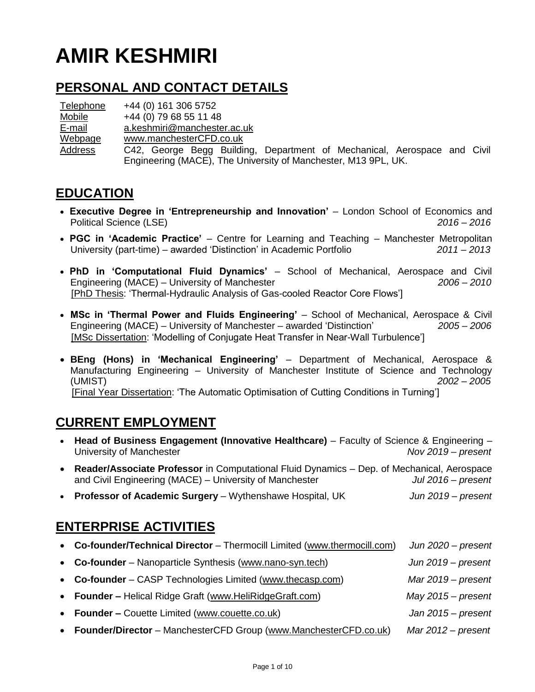# **AMIR KESHMIRI**

### **PERSONAL AND CONTACT DETAILS**

**Telephone** Mobile E-mail Webpage Address +44 (0) 161 306 5752 +44 (0) 79 68 55 11 48 [a.keshmiri@manchester.ac.uk](mailto:a.keshmiri@manchester.ac.uk) [www.manchesterCFD.co.uk](http://www.manchestercfd.co.uk/) C42, George Begg Building, Department of Mechanical, Aerospace and Civil Engineering (MACE), The University of Manchester, M13 9PL, UK.

#### **EDUCATION**

- **Executive Degree in 'Entrepreneurship and Innovation'** London School of Economics and Political Science (LSE) *2016 – 2016*
- **PGC in 'Academic Practice'**  Centre for Learning and Teaching Manchester Metropolitan University (part-time) – awarded 'Distinction' in Academic Portfolio *2011 – 2013*
- **PhD in 'Computational Fluid Dynamics'** School of Mechanical, Aerospace and Civil Engineering (MACE) – University of Manchester *2006 – 2010* [PhD Thesis: 'Thermal-Hydraulic Analysis of Gas-cooled Reactor Core Flows']
- **MSc in 'Thermal Power and Fluids Engineering'** School of Mechanical, Aerospace & Civil Engineering (MACE) – University of Manchester – awarded 'Distinction' *2005 – 2006* [MSc Dissertation: 'Modelling of Conjugate Heat Transfer in Near-Wall Turbulence']
- **BEng (Hons) in 'Mechanical Engineering'** Department of Mechanical, Aerospace & Manufacturing Engineering – University of Manchester Institute of Science and Technology (UMIST) – awarded 2:1 *2002 – 2005* [Final Year Dissertation: 'The Automatic Optimisation of Cutting Conditions in Turning']

# **CURRENT EMPLOYMENT**

|                              | • Head of Business Engagement (Innovative Healthcare) – Faculty of Science & Engineering –<br>University of Manchester                                | Nov $2019$ – present |  |  |  |  |  |
|------------------------------|-------------------------------------------------------------------------------------------------------------------------------------------------------|----------------------|--|--|--|--|--|
| $\bullet$                    | Reader/Associate Professor in Computational Fluid Dynamics - Dep. of Mechanical, Aerospace<br>and Civil Engineering (MACE) - University of Manchester | Jul $2016$ – present |  |  |  |  |  |
|                              | • Professor of Academic Surgery – Wythenshawe Hospital, UK                                                                                            | Jun 2019 - present   |  |  |  |  |  |
| <b>ENTERPRISE ACTIVITIES</b> |                                                                                                                                                       |                      |  |  |  |  |  |
|                              | • Co-founder/Technical Director - Thermocill Limited (www.thermocill.com)                                                                             | Jun $2020$ – present |  |  |  |  |  |
|                              | <b>Co-founder</b> – Nanoparticle Synthesis (www.nano-syn.tech)                                                                                        | Jun 2019 – present   |  |  |  |  |  |
|                              | <b>Co-founder</b> – CASP Technologies Limited (www.thecasp.com)                                                                                       | $Mar 2019$ – present |  |  |  |  |  |
| $\bullet$                    | <b>Founder – Helical Ridge Graft (www.HeliRidgeGraft.com)</b>                                                                                         | $May 2015 - present$ |  |  |  |  |  |
|                              |                                                                                                                                                       |                      |  |  |  |  |  |

- **Founder –** Couette Limited [\(www.couette.co.uk\)](http://www.couette.co.uk/) *Jan 2015 – present*
- **Founder/Director** ManchesterCFD Group [\(www.ManchesterCFD.co.uk\)](http://www.manchestercfd.co.uk/) *Mar 2012 – present*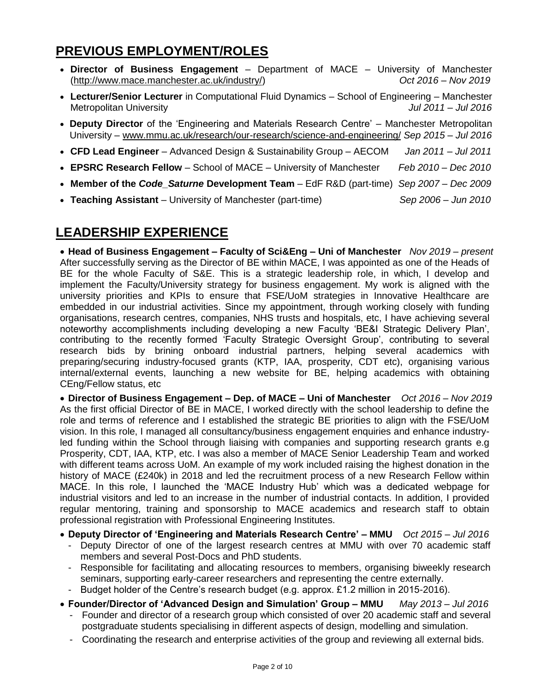# **PREVIOUS EMPLOYMENT/ROLES**

- **Director of Business Engagement**  Department of MACE University of Manchester [\(http://www.mace.manchester.ac.uk/industry/\)](http://www.mace.manchester.ac.uk/industry/) *Oct 2016 – Nov 2019*
- **Lecturer/Senior Lecturer** in Computational Fluid Dynamics School of Engineering Manchester Metropolitan University *Jul 2011 – Jul 2016*
- **Deputy Director** of the 'Engineering and Materials Research Centre' Manchester Metropolitan University – [www.mmu.ac.uk/research/our-research/science-and-engineering/](http://www.mmu.ac.uk/research/our-research/science-and-engineering/) *Sep 2015 – Jul 2016*
- **CFD Lead Engineer**  Advanced Design & Sustainability Group AECOM *Jan 2011 – Jul 2011*
- **EPSRC Research Fellow**  School of MACE University of Manchester*Feb 2010 – Dec 2010*
- **Member of the** *Code\_Saturne* **Development Team**  EdF R&D (part-time) *Sep 2007 – Dec 2009*
- **Teaching Assistant**  University of Manchester (part-time) *Sep 2006 – Jun 2010*

### **LEADERSHIP EXPERIENCE**

 **Head of Business Engagement – Faculty of Sci&Eng – Uni of Manchester** *Nov 2019 – present* After successfully serving as the Director of BE within MACE, I was appointed as one of the Heads of BE for the whole Faculty of S&E. This is a strategic leadership role, in which, I develop and implement the Faculty/University strategy for business engagement. My work is aligned with the university priorities and KPIs to ensure that FSE/UoM strategies in Innovative Healthcare are embedded in our industrial activities. Since my appointment, through working closely with funding organisations, research centres, companies, NHS trusts and hospitals, etc, I have achieving several noteworthy accomplishments including developing a new Faculty 'BE&I Strategic Delivery Plan', contributing to the recently formed 'Faculty Strategic Oversight Group', contributing to several research bids by brining onboard industrial partners, helping several academics with preparing/securing industry-focused grants (KTP, IAA, prosperity, CDT etc), organising various internal/external events, launching a new website for BE, helping academics with obtaining CEng/Fellow status, etc

 **Director of Business Engagement – Dep. of MACE – Uni of Manchester** *Oct 2016 – Nov 2019* As the first official Director of BE in MACE, I worked directly with the school leadership to define the role and terms of reference and I established the strategic BE priorities to align with the FSE/UoM vision. In this role, I managed all consultancy/business engagement enquiries and enhance industryled funding within the School through liaising with companies and supporting research grants e.g Prosperity, CDT, IAA, KTP, etc. I was also a member of MACE Senior Leadership Team and worked with different teams across UoM. An example of my work included raising the highest donation in the history of MACE (£240k) in 2018 and led the recruitment process of a new Research Fellow within MACE. In this role, I launched the 'MACE Industry Hub' which was a dedicated webpage for industrial visitors and led to an increase in the number of industrial contacts. In addition, I provided regular mentoring, training and sponsorship to MACE academics and research staff to obtain professional registration with Professional Engineering Institutes.

- **Deputy Director of 'Engineering and Materials Research Centre' – MMU** *Oct 2015 – Jul 2016*
	- Deputy Director of one of the largest research centres at MMU with over 70 academic staff members and several Post-Docs and PhD students.
	- Responsible for facilitating and allocating resources to members, organising biweekly research seminars, supporting early-career researchers and representing the centre externally.
	- Budget holder of the Centre's research budget (e.g. approx. £1.2 million in 2015-2016).
- **Founder/Director of 'Advanced Design and Simulation' Group – MMU** *May 2013 – Jul 2016*
	- Founder and director of a research group which consisted of over 20 academic staff and several postgraduate students specialising in different aspects of design, modelling and simulation.
	- Coordinating the research and enterprise activities of the group and reviewing all external bids.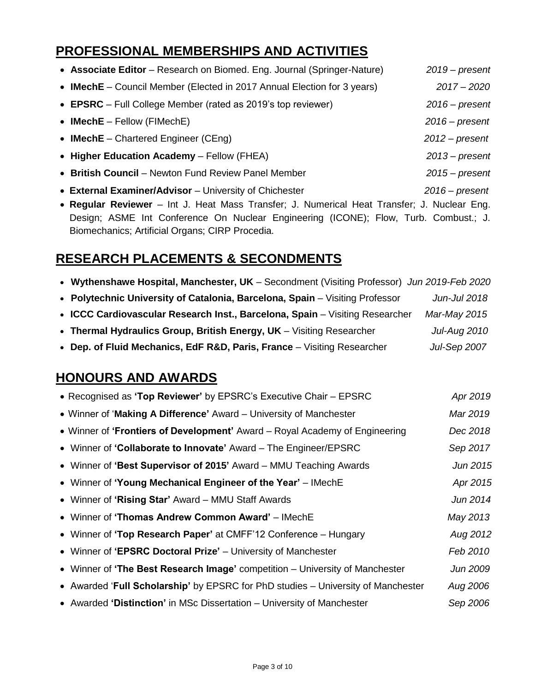# **PROFESSIONAL MEMBERSHIPS AND ACTIVITIES**

| • Associate Editor – Research on Biomed. Eng. Journal (Springer-Nature) | $2019$ – present |
|-------------------------------------------------------------------------|------------------|
| • IMechE – Council Member (Elected in 2017 Annual Election for 3 years) | $2017 - 2020$    |
| • EPSRC – Full College Member (rated as 2019's top reviewer)            | $2016$ – present |
| • IMech $E -$ Fellow (FIMechE)                                          | $2016$ – present |
| • IMechE – Chartered Engineer (CEng)                                    | $2012$ – present |
| • Higher Education Academy - Fellow (FHEA)                              | $2013$ – present |
| • British Council – Newton Fund Review Panel Member                     | $2015 - present$ |
| • External Examiner/Advisor - University of Chichester                  | $2016$ – present |

 **Regular Reviewer** – Int J. Heat Mass Transfer; J. Numerical Heat Transfer; J. Nuclear Eng. Design; ASME Int Conference On Nuclear Engineering (ICONE); Flow, Turb. Combust.; J. Biomechanics; Artificial Organs; CIRP Procedia.

# **RESEARCH PLACEMENTS & SECONDMENTS**

|  |  |  | • Wythenshawe Hospital, Manchester, UK - Secondment (Visiting Professor) Jun 2019-Feb 2020 |  |  |
|--|--|--|--------------------------------------------------------------------------------------------|--|--|
|--|--|--|--------------------------------------------------------------------------------------------|--|--|

- **Polytechnic University of Catalonia, Barcelona, Spain**  Visiting Professor *Jun-Jul 2018*
- **ICCC Cardiovascular Research Inst., Barcelona, Spain** Visiting Researcher *Mar-May 2015*
- **Thermal Hydraulics Group, British Energy, UK**  Visiting Researcher *Jul-Aug 2010*
- **Dep. of Fluid Mechanics, EdF R&D, Paris, France**  Visiting Researcher *Jul-Sep 2007*

### **HONOURS AND AWARDS**

| Apr 2019 |
|----------|
| Mar 2019 |
| Dec 2018 |
| Sep 2017 |
| Jun 2015 |
| Apr 2015 |
| Jun 2014 |
| May 2013 |
| Aug 2012 |
| Feb 2010 |
| Jun 2009 |
| Aug 2006 |
| Sep 2006 |
|          |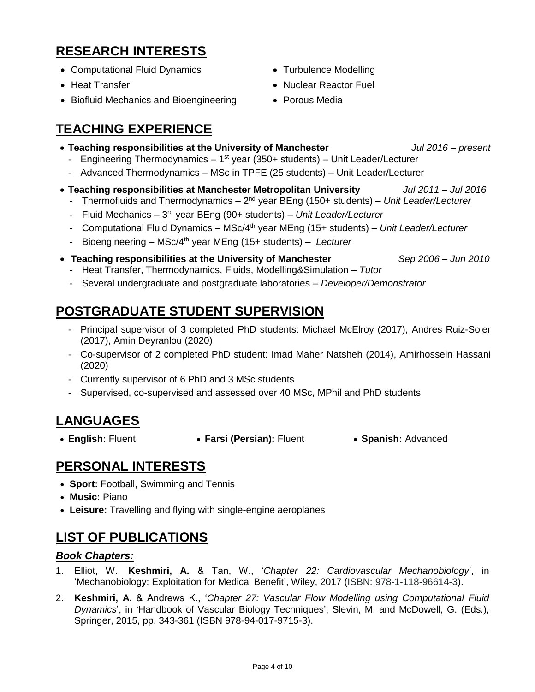# **RESEARCH INTERESTS**

- Computational Fluid Dynamics
- Heat Transfer
- Biofluid Mechanics and Bioengineering

### **TEACHING EXPERIENCE**

- Turbulence Modelling
- Nuclear Reactor Fuel
- Porous Media
- **Teaching responsibilities at the University of Manchester** *Jul 2016 – present*
- Engineering Thermodynamics 1<sup>st</sup> year (350+ students) Unit Leader/Lecturer
- Advanced Thermodynamics MSc in TPFE (25 students) Unit Leader/Lecturer
- **Teaching responsibilities at Manchester Metropolitan University** *Jul 2011 – Jul 2016*
	- Thermofluids and Thermodynamics 2<sup>nd</sup> year BEng (150+ students) Unit Leader/Lecturer
	- Fluid Mechanics 3<sup>rd</sup> year BEng (90+ students) Unit Leader/Lecturer
	- Computational Fluid Dynamics MSc/4th year MEng (15+ students) *Unit Leader/Lecturer*
	- Bioengineering MSc/4th year MEng (15+ students) *Lecturer*
- **Teaching responsibilities at the University of Manchester** *Sep 2006 – Jun 2010* - Heat Transfer, Thermodynamics, Fluids, Modelling&Simulation – *Tutor*
	- Several undergraduate and postgraduate laboratories *Developer/Demonstrator*

# **POSTGRADUATE STUDENT SUPERVISION**

- Principal supervisor of 3 completed PhD students: Michael McElroy (2017), Andres Ruiz-Soler (2017), Amin Deyranlou (2020)
- Co-supervisor of 2 completed PhD student: Imad Maher Natsheh (2014), Amirhossein Hassani (2020)
- Currently supervisor of 6 PhD and 3 MSc students
- Supervised, co-supervised and assessed over 40 MSc, MPhil and PhD students

# **LANGUAGES**

- 
- **English:** Fluent **Farsi (Persian):** Fluent **Spanish:** Advanced
	-

### **PERSONAL INTERESTS**

- **Sport:** Football, Swimming and Tennis
- **Music:** Piano
- **Leisure:** Travelling and flying with single-engine aeroplanes

# **LIST OF PUBLICATIONS**

#### *Book Chapters:*

- 1. Elliot, W., **Keshmiri, A.** & Tan, W., '*Chapter 22: Cardiovascular Mechanobiology*', in 'Mechanobiology: Exploitation for Medical Benefit', Wiley, 2017 (ISBN: 978-1-118-96614-3).
- 2. **Keshmiri, A.** & Andrews K., '*Chapter 27: Vascular Flow Modelling using Computational Fluid Dynamics*', in 'Handbook of Vascular Biology Techniques', Slevin, M. and McDowell, G. (Eds.), Springer, 2015, pp. 343-361 (ISBN 978-94-017-9715-3).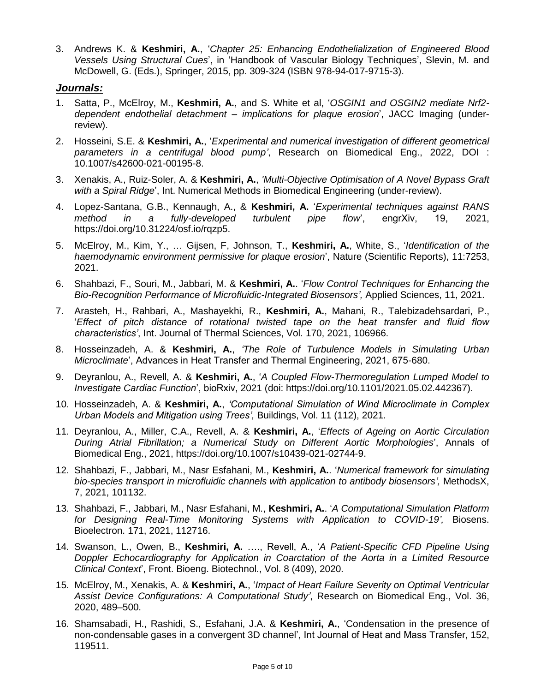3. Andrews K. & **Keshmiri, A.**, '*Chapter 25: Enhancing Endothelialization of Engineered Blood Vessels Using Structural Cues*', in 'Handbook of Vascular Biology Techniques', Slevin, M. and McDowell, G. (Eds.), Springer, 2015, pp. 309-324 (ISBN 978-94-017-9715-3).

#### *Journals:*

- 1. Satta, P., McElroy, M., **Keshmiri, A.**, and S. White et al, '*OSGIN1 and OSGIN2 mediate Nrf2 dependent endothelial detachment – implications for plaque erosion*', JACC Imaging (underreview).
- 2. Hosseini, S.E. & **Keshmiri, A.**, '*Experimental and numerical investigation of different geometrical parameters in a centrifugal blood pump'*, Research on Biomedical Eng., 2022, DOI : 10.1007/s42600-021-00195-8.
- 3. Xenakis, A., Ruiz-Soler, A. & **Keshmiri, A.**, *'Multi-Objective Optimisation of A Novel Bypass Graft with a Spiral Ridge*', Int. Numerical Methods in Biomedical Engineering (under-review).
- 4. Lopez-Santana, G.B., Kennaugh, A., & **Keshmiri, A.** '*Experimental techniques against RANS method in a fully-developed turbulent pipe flow*', engrXiv, 19, 2021, https://doi.org/10.31224/osf.io/rqzp5.
- 5. McElroy, M., Kim, Y., … Gijsen, F, Johnson, T., **Keshmiri, A.**, White, S., '*Identification of the haemodynamic environment permissive for plaque erosion*', Nature (Scientific Reports), 11:7253, 2021.
- 6. Shahbazi, F., Souri, M., Jabbari, M. & **Keshmiri, A.**. '*Flow Control Techniques for Enhancing the Bio-Recognition Performance of Microfluidic-Integrated Biosensors',* Applied Sciences, 11, 2021.
- 7. Arasteh, H., Rahbari, A., Mashayekhi, R., **Keshmiri, A.**, Mahani, R., Talebizadehsardari, P., '*Effect of pitch distance of rotational twisted tape on the heat transfer and fluid flow characteristics'*, Int. Journal of Thermal Sciences, Vol. 170, 2021, 106966.
- 8. Hosseinzadeh, A. & **Keshmiri, A.**, *'The Role of Turbulence Models in Simulating Urban Microclimate*', Advances in Heat Transfer and Thermal Engineering, 2021, 675-680.
- 9. Deyranlou, A., Revell, A. & **Keshmiri, A.**, '*A Coupled Flow-Thermoregulation Lumped Model to Investigate Cardiac Function*', bioRxiv, 2021 (doi: https://doi.org/10.1101/2021.05.02.442367).
- 10. Hosseinzadeh, A. & **Keshmiri, A.**, *'Computational Simulation of Wind Microclimate in Complex Urban Models and Mitigation using Trees',* Buildings, Vol. 11 (112), 2021.
- 11. Deyranlou, A., Miller, C.A., Revell, A. & **Keshmiri, A.**, '*Effects of Ageing on Aortic Circulation During Atrial Fibrillation; a Numerical Study on Different Aortic Morphologies*', Annals of Biomedical Eng., 2021, https://doi.org/10.1007/s10439-021-02744-9.
- 12. Shahbazi, F., Jabbari, M., Nasr Esfahani, M., **Keshmiri, A.**. '*Numerical framework for simulating bio-species transport in microfluidic channels with application to antibody biosensors',* MethodsX, 7, 2021, 101132.
- 13. Shahbazi, F., Jabbari, M., Nasr Esfahani, M., **Keshmiri, A.**. '*A Computational Simulation Platform for Designing Real-Time Monitoring Systems with Application to COVID-19',* Biosens. Bioelectron. 171, 2021, 112716.
- 14. Swanson, L., Owen, B., **Keshmiri, A.** …., Revell, A., '*A Patient-Specific CFD Pipeline Using Doppler Echocardiography for Application in Coarctation of the Aorta in a Limited Resource Clinical Context*', Front. Bioeng. Biotechnol., Vol. 8 (409), 2020.
- 15. McElroy, M., Xenakis, A. & **Keshmiri, A.**, '*Impact of Heart Failure Severity on Optimal Ventricular Assist Device Configurations: A Computational Study'*, Research on Biomedical Eng., Vol. 36, 2020, 489–500.
- 16. Shamsabadi, H., Rashidi, S., Esfahani, J.A. & **Keshmiri, A.**, 'Condensation in the presence of non-condensable gases in a convergent 3D channel', Int Journal of Heat and Mass Transfer, 152, 119511.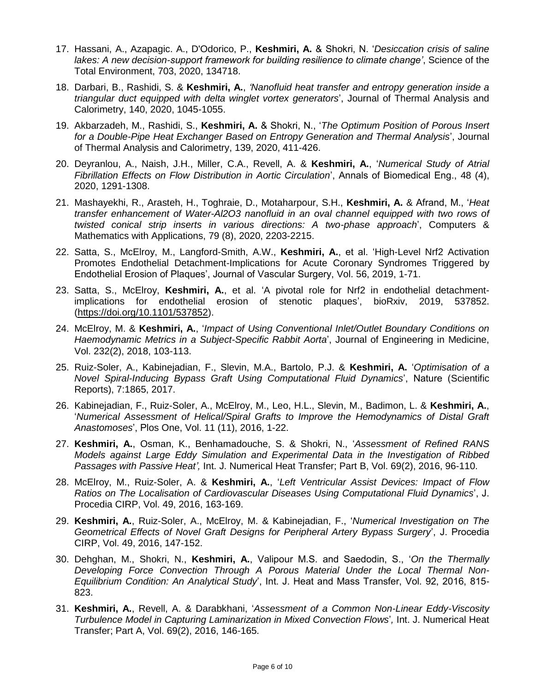- 17. Hassani, A., Azapagic. A., D'Odorico, P., **Keshmiri, A.** & Shokri, N. '*Desiccation crisis of saline lakes: A new decision-support framework for building resilience to climate change'*, Science of the Total Environment, 703, 2020, 134718.
- 18. Darbari, B., Rashidi, S. & **Keshmiri, A.**, *'Nanofluid heat transfer and entropy generation inside a triangular duct equipped with delta winglet vortex generators*', Journal of Thermal Analysis and Calorimetry, 140, 2020, 1045-1055.
- 19. Akbarzadeh, M., Rashidi, S., **Keshmiri, A.** & Shokri, N., '*The Optimum Position of Porous Insert for a Double-Pipe Heat Exchanger Based on Entropy Generation and Thermal Analysis*', Journal of Thermal Analysis and Calorimetry, 139, 2020, 411-426.
- 20. Deyranlou, A., Naish, J.H., Miller, C.A., Revell, A. & **Keshmiri, A.**, '*Numerical Study of Atrial Fibrillation Effects on Flow Distribution in Aortic Circulation*', Annals of Biomedical Eng., 48 (4), 2020, 1291-1308.
- 21. Mashayekhi, R., Arasteh, H., Toghraie, D., Motaharpour, S.H., **Keshmiri, A.** & Afrand, M., '*Heat transfer enhancement of Water-Al2O3 nanofluid in an oval channel equipped with two rows of twisted conical strip inserts in various directions: A two-phase approach*', Computers & Mathematics with Applications, 79 (8), 2020, 2203-2215.
- 22. Satta, S., McElroy, M., Langford-Smith, A.W., **Keshmiri, A.**, et al. 'High-Level Nrf2 Activation Promotes Endothelial Detachment-Implications for Acute Coronary Syndromes Triggered by Endothelial Erosion of Plaques', Journal of Vascular Surgery, Vol. 56, 2019, 1-71.
- 23. Satta, S., McElroy, **Keshmiri, A.**, et al. 'A pivotal role for Nrf2 in endothelial detachmentimplications for endothelial erosion of stenotic plaques', bioRxiv, 2019, 537852. [\(https://doi.org/10.1101/537852\)](https://doi.org/10.1101/537852).
- 24. McElroy, M. & **Keshmiri, A.**, '*Impact of Using Conventional Inlet/Outlet Boundary Conditions on Haemodynamic Metrics in a Subject-Specific Rabbit Aorta*', Journal of Engineering in Medicine, Vol. 232(2), 2018, 103-113.
- 25. Ruiz-Soler, A., Kabinejadian, F., Slevin, M.A., Bartolo, P.J. & **Keshmiri, A.** '*Optimisation of a Novel Spiral-Inducing Bypass Graft Using Computational Fluid Dynamics*', Nature (Scientific Reports), 7:1865, 2017.
- 26. Kabinejadian, F., Ruiz-Soler, A., McElroy, M., Leo, H.L., Slevin, M., Badimon, L. & **Keshmiri, A.**, '*Numerical Assessment of Helical/Spiral Grafts to Improve the Hemodynamics of Distal Graft Anastomoses*', Plos One, Vol. 11 (11), 2016, 1-22.
- 27. **Keshmiri, A.**, Osman, K., Benhamadouche, S. & Shokri, N., '*Assessment of Refined RANS Models against Large Eddy Simulation and Experimental Data in the Investigation of Ribbed Passages with Passive Heat',* Int. J. Numerical Heat Transfer; Part B, Vol. 69(2), 2016, 96-110.
- 28. McElroy, M., Ruiz-Soler, A. & **Keshmiri, A.**, '*Left Ventricular Assist Devices: Impact of Flow Ratios on The Localisation of Cardiovascular Diseases Using Computational Fluid Dynamics*', J. Procedia CIRP, Vol. 49, 2016, 163-169.
- 29. **Keshmiri, A.**, Ruiz-Soler, A., McElroy, M. & Kabinejadian, F., '*Numerical Investigation on The Geometrical Effects of Novel Graft Designs for Peripheral Artery Bypass Surgery*', J. Procedia CIRP, Vol. 49, 2016, 147-152.
- 30. Dehghan, M., Shokri, N., **Keshmiri, A.**, Valipour M.S. and Saedodin, S., '*On the Thermally Developing Force Convection Through A Porous Material Under the Local Thermal Non-Equilibrium Condition: An Analytical Study*', Int. J. Heat and Mass Transfer, Vol. 92, 2016, 815- 823.
- 31. **Keshmiri, A.**, Revell, A. & Darabkhani, '*Assessment of a Common Non-Linear Eddy-Viscosity Turbulence Model in Capturing Laminarization in Mixed Convection Flows*'*,* Int. J. Numerical Heat Transfer; Part A, Vol. 69(2), 2016, 146-165.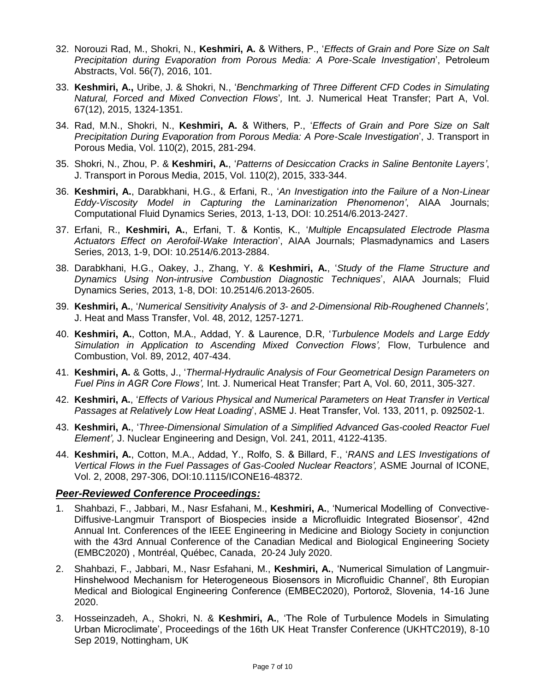- 32. Norouzi Rad, M., Shokri, N., **Keshmiri, A.** & Withers, P., '*Effects of Grain and Pore Size on Salt Precipitation during Evaporation from Porous Media: A Pore-Scale Investigation*', Petroleum Abstracts, Vol. 56(7), 2016, 101.
- 33. **Keshmiri, A.,** Uribe, J. & Shokri, N., '*Benchmarking of Three Different CFD Codes in Simulating Natural, Forced and Mixed Convection Flows*'*,* Int. J. Numerical Heat Transfer; Part A, Vol. 67(12), 2015, 1324-1351.
- 34. Rad, M.N., Shokri, N., **Keshmiri, A.** & Withers, P., '*Effects of Grain and Pore Size on Salt Precipitation During Evaporation from Porous Media: A Pore-Scale Investigation*', J. Transport in Porous Media, Vol. 110(2), 2015, 281-294.
- 35. Shokri, N., Zhou, P. & **Keshmiri, A.**, '*Patterns of Desiccation Cracks in Saline Bentonite Layers'*, J. Transport in Porous Media, 2015, Vol. 110(2), 2015, 333-344.
- 36. **Keshmiri, A.**, Darabkhani, H.G., & Erfani, R., '*An Investigation into the Failure of a Non-Linear Eddy-Viscosity Model in Capturing the Laminarization Phenomenon'*, AIAA Journals; Computational Fluid Dynamics Series, 2013, 1-13, DOI: 10.2514/6.2013-2427.
- 37. Erfani, R., **Keshmiri, A.**, Erfani, T. & Kontis, K., '*Multiple Encapsulated Electrode Plasma Actuators Effect on Aerofoil-Wake Interaction*', AIAA Journals; Plasmadynamics and Lasers Series, 2013, 1-9, DOI: 10.2514/6.2013-2884.
- 38. Darabkhani, H.G., Oakey, J., Zhang, Y. & **Keshmiri, A.**, '*Study of the Flame Structure and Dynamics Using Non-intrusive Combustion Diagnostic Techniques*', AIAA Journals; Fluid Dynamics Series, 2013, 1-8, DOI: 10.2514/6.2013-2605.
- 39. **Keshmiri, A.**, '*Numerical Sensitivity Analysis of 3- and 2-Dimensional Rib-Roughened Channels',* J. Heat and Mass Transfer, Vol. 48, 2012, 1257-1271.
- 40. **Keshmiri, A.**, Cotton, M.A., Addad, Y. & Laurence, D.R, '*Turbulence Models and Large Eddy Simulation in Application to Ascending Mixed Convection Flows',* Flow, Turbulence and Combustion, Vol. 89, 2012, 407-434.
- 41. **Keshmiri, A.** & Gotts, J., '*Thermal-Hydraulic Analysis of Four Geometrical Design Parameters on Fuel Pins in AGR Core Flows',* Int. J. Numerical Heat Transfer; Part A, Vol. 60, 2011, 305-327.
- 42. **Keshmiri, A.**, '*Effects of Various Physical and Numerical Parameters on Heat Transfer in Vertical Passages at Relatively Low Heat Loading*', ASME J. Heat Transfer, Vol. 133, 2011, p. 092502-1.
- 43. **Keshmiri, A.**, '*Three-Dimensional Simulation of a Simplified Advanced Gas-cooled Reactor Fuel Element',* J. Nuclear Engineering and Design, Vol. 241, 2011, 4122-4135.
- 44. **Keshmiri, A.**, Cotton, M.A., Addad, Y., Rolfo, S. & Billard, F., '*RANS and LES Investigations of Vertical Flows in the Fuel Passages of Gas-Cooled Nuclear Reactors',* ASME Journal of ICONE, Vol. 2, 2008, 297-306, DOI:10.1115/ICONE16-48372.

#### *Peer-Reviewed Conference Proceedings:*

- 1. Shahbazi, F., Jabbari, M., Nasr Esfahani, M., **Keshmiri, A.**, 'Numerical Modelling of Convective-Diffusive-Langmuir Transport of Biospecies inside a Microfluidic Integrated Biosensor', 42nd Annual Int. Conferences of the IEEE Engineering in Medicine and Biology Society in conjunction with the 43rd Annual Conference of the Canadian Medical and Biological Engineering Society (EMBC2020) , Montréal, Québec, Canada, 20-24 July 2020.
- 2. Shahbazi, F., Jabbari, M., Nasr Esfahani, M., **Keshmiri, A.**, 'Numerical Simulation of Langmuir-Hinshelwood Mechanism for Heterogeneous Biosensors in Microfluidic Channel', 8th Europian Medical and Biological Engineering Conference (EMBEC2020), Portorož, Slovenia, 14-16 June 2020.
- 3. Hosseinzadeh, A., Shokri, N. & **Keshmiri, A.**, 'The Role of Turbulence Models in Simulating Urban Microclimate', Proceedings of the 16th UK Heat Transfer Conference (UKHTC2019), 8-10 Sep 2019, Nottingham, UK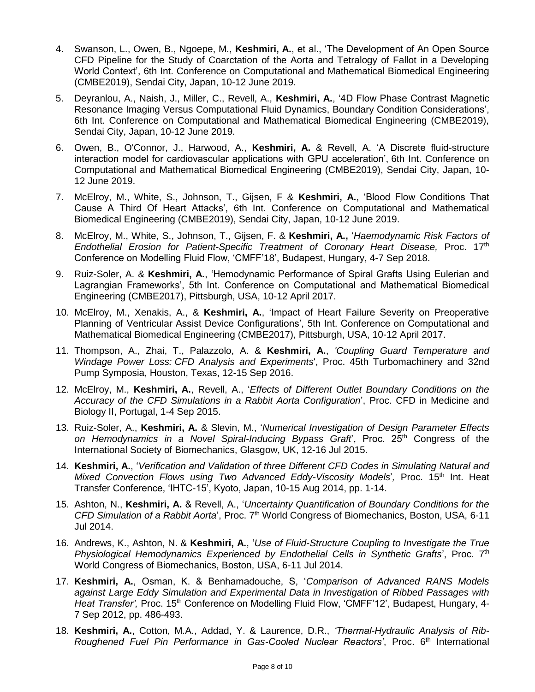- 4. Swanson, L., Owen, B., Ngoepe, M., **Keshmiri, A.**, et al., 'The Development of An Open Source CFD Pipeline for the Study of Coarctation of the Aorta and Tetralogy of Fallot in a Developing World Context', 6th Int. Conference on Computational and Mathematical Biomedical Engineering (CMBE2019), Sendai City, Japan, 10-12 June 2019.
- 5. Deyranlou, A., Naish, J., Miller, C., Revell, A., **Keshmiri, A.**, '4D Flow Phase Contrast Magnetic Resonance Imaging Versus Computational Fluid Dynamics, Boundary Condition Considerations', 6th Int. Conference on Computational and Mathematical Biomedical Engineering (CMBE2019), Sendai City, Japan, 10-12 June 2019.
- 6. Owen, B., O'Connor, J., Harwood, A., **Keshmiri, A.** & Revell, A. 'A Discrete fluid-structure interaction model for cardiovascular applications with GPU acceleration', 6th Int. Conference on Computational and Mathematical Biomedical Engineering (CMBE2019), Sendai City, Japan, 10- 12 June 2019.
- 7. McElroy, M., White, S., Johnson, T., Gijsen, F & **Keshmiri, A.**, 'Blood Flow Conditions That Cause A Third Of Heart Attacks', 6th Int. Conference on Computational and Mathematical Biomedical Engineering (CMBE2019), Sendai City, Japan, 10-12 June 2019.
- 8. McElroy, M., White, S., Johnson, T., Gijsen, F. & **Keshmiri, A.,** '*Haemodynamic Risk Factors of Endothelial Erosion for Patient-Specific Treatment of Coronary Heart Disease, Proc.* 17<sup>th</sup> Conference on Modelling Fluid Flow, 'CMFF'18', Budapest, Hungary, 4-7 Sep 2018.
- 9. Ruiz-Soler, A. & **Keshmiri, A.**, 'Hemodynamic Performance of Spiral Grafts Using Eulerian and Lagrangian Frameworks', 5th Int. Conference on Computational and Mathematical Biomedical Engineering (CMBE2017), Pittsburgh, USA, 10-12 April 2017.
- 10. McElroy, M., Xenakis, A., & **Keshmiri, A.**, 'Impact of Heart Failure Severity on Preoperative Planning of Ventricular Assist Device Configurations', 5th Int. Conference on Computational and Mathematical Biomedical Engineering (CMBE2017), Pittsburgh, USA, 10-12 April 2017.
- 11. Thompson, A., Zhai, T., Palazzolo, A. & **Keshmiri, A.**, *'Coupling Guard Temperature and Windage Power Loss: CFD Analysis and Experiments*', Proc. 45th Turbomachinery and 32nd Pump Symposia, Houston, Texas, 12-15 Sep 2016.
- 12. McElroy, M., **Keshmiri, A.**, Revell, A., '*Effects of Different Outlet Boundary Conditions on the Accuracy of the CFD Simulations in a Rabbit Aorta Configuration*', Proc. CFD in Medicine and Biology II, Portugal, 1-4 Sep 2015.
- 13. Ruiz-Soler, A., **Keshmiri, A.** & Slevin, M., '*Numerical Investigation of Design Parameter Effects*  on Hemodynamics in a Novel Spiral-Inducing Bypass Graff, Proc. 25<sup>th</sup> Congress of the International Society of Biomechanics, Glasgow, UK, 12-16 Jul 2015.
- 14. **Keshmiri, A.**, '*Verification and Validation of three Different CFD Codes in Simulating Natural and Mixed Convection Flows using Two Advanced Eddy-Viscosity Models', Proc. 15<sup>th</sup> Int. Heat* Transfer Conference, 'IHTC-15', Kyoto, Japan, 10-15 Aug 2014, pp. 1-14.
- 15. Ashton, N., **Keshmiri, A.** & Revell, A., '*Uncertainty Quantification of Boundary Conditions for the*  CFD Simulation of a Rabbit Aorta', Proc. 7<sup>th</sup> World Congress of Biomechanics, Boston, USA, 6-11 Jul 2014.
- 16. Andrews, K., Ashton, N. & **Keshmiri, A.**, '*Use of Fluid-Structure Coupling to Investigate the True*  Physiological Hemodynamics Experienced by Endothelial Cells in Synthetic Grafts', Proc. 7<sup>th</sup> World Congress of Biomechanics, Boston, USA, 6-11 Jul 2014.
- 17. **Keshmiri, A.**, Osman, K. & Benhamadouche, S, '*Comparison of Advanced RANS Models against Large Eddy Simulation and Experimental Data in Investigation of Ribbed Passages with Heat Transfer'*, Proc. 15<sup>th</sup> Conference on Modelling Fluid Flow, 'CMFF'12', Budapest, Hungary, 4-7 Sep 2012, pp. 486-493.
- 18. **Keshmiri, A.**, Cotton, M.A., Addad, Y. & Laurence, D.R., *'Thermal-Hydraulic Analysis of Rib-Roughened Fuel Pin Performance in Gas-Cooled Nuclear Reactors'*, Proc. 6<sup>th</sup> International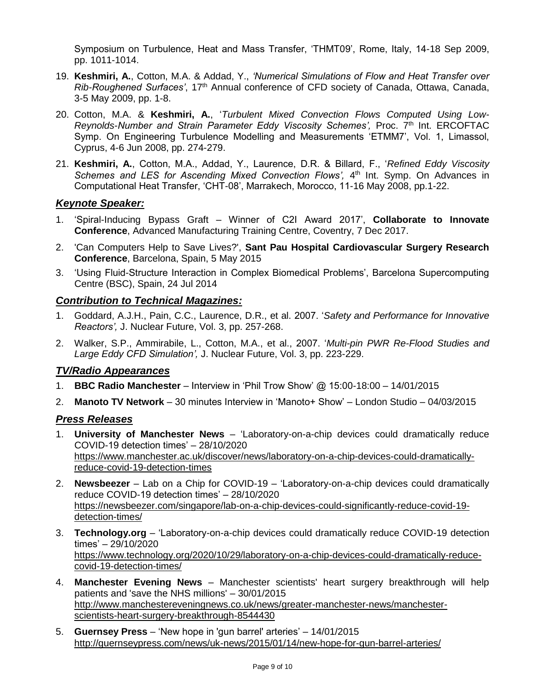Symposium on Turbulence, Heat and Mass Transfer, 'THMT09', Rome, Italy, 14-18 Sep 2009, pp. 1011-1014.

- 19. **Keshmiri, A.**, Cotton, M.A. & Addad, Y., *'Numerical Simulations of Flow and Heat Transfer over Rib-Roughened Surfaces'*, 17th Annual conference of CFD society of Canada, Ottawa, Canada, 3-5 May 2009, pp. 1-8.
- 20. Cotton, M.A. & **Keshmiri, A.**, '*Turbulent Mixed Convection Flows Computed Using Low-Reynolds-Number and Strain Parameter Eddy Viscosity Schemes'*, Proc. 7<sup>th</sup> Int. ERCOFTAC Symp. On Engineering Turbulence Modelling and Measurements 'ETMM7', Vol. 1, Limassol, Cyprus, 4-6 Jun 2008, pp. 274-279.
- 21. **Keshmiri, A.**, Cotton, M.A., Addad, Y., Laurence, D.R. & Billard, F., '*Refined Eddy Viscosity*  Schemes and LES for Ascending Mixed Convection Flows', 4<sup>th</sup> Int. Symp. On Advances in Computational Heat Transfer, 'CHT-08', Marrakech, Morocco, 11-16 May 2008, pp.1-22.

#### *Keynote Speaker:*

- 1. 'Spiral-Inducing Bypass Graft Winner of C2I Award 2017', **Collaborate to Innovate Conference**, Advanced Manufacturing Training Centre, Coventry, 7 Dec 2017.
- 2. 'Can Computers Help to Save Lives?', **Sant Pau Hospital Cardiovascular Surgery Research Conference**, Barcelona, Spain, 5 May 2015
- 3. 'Using Fluid-Structure Interaction in Complex Biomedical Problems', Barcelona Supercomputing Centre (BSC), Spain, 24 Jul 2014

#### *Contribution to Technical Magazines:*

- 1. Goddard, A.J.H., Pain, C.C., Laurence, D.R., et al. 2007. '*Safety and Performance for Innovative Reactors',* J. Nuclear Future, Vol. 3, pp. 257-268.
- 2. Walker, S.P., Ammirabile, L., Cotton, M.A., et al., 2007. '*Multi-pin PWR Re-Flood Studies and Large Eddy CFD Simulation',* J. Nuclear Future, Vol. 3, pp. 223-229.

#### *TV/Radio Appearances*

- 1. **BBC Radio Manchester** Interview in 'Phil Trow Show' @ 15:00-18:00 14/01/2015
- 2. **Manoto TV Network** 30 minutes Interview in 'Manoto+ Show' London Studio 04/03/2015

#### *Press Releases*

- 1. **University of Manchester News** 'Laboratory-on-a-chip devices could dramatically reduce COVID-19 detection times' – 28/10/2020 [https://www.manchester.ac.uk/discover/news/laboratory-on-a-chip-devices-could-dramatically](https://www.manchester.ac.uk/discover/news/laboratory-on-a-chip-devices-could-dramatically-reduce-covid-19-detection-times)[reduce-covid-19-detection-times](https://www.manchester.ac.uk/discover/news/laboratory-on-a-chip-devices-could-dramatically-reduce-covid-19-detection-times)
- 2. **Newsbeezer** Lab on a Chip for COVID-19 'Laboratory-on-a-chip devices could dramatically reduce COVID-19 detection times' – 28/10/2020 [https://newsbeezer.com/singapore/lab-on-a-chip-devices-could-significantly-reduce-covid-19](https://newsbeezer.com/singapore/lab-on-a-chip-devices-could-significantly-reduce-covid-19-detection-times/) [detection-times/](https://newsbeezer.com/singapore/lab-on-a-chip-devices-could-significantly-reduce-covid-19-detection-times/)
- 3. **Technology.org** 'Laboratory-on-a-chip devices could dramatically reduce COVID-19 detection times' – 29/10/2020 [https://www.technology.org/2020/10/29/laboratory-on-a-chip-devices-could-dramatically-reduce](https://www.technology.org/2020/10/29/laboratory-on-a-chip-devices-could-dramatically-reduce-covid-19-detection-times/)[covid-19-detection-times/](https://www.technology.org/2020/10/29/laboratory-on-a-chip-devices-could-dramatically-reduce-covid-19-detection-times/)
- 4. **Manchester Evening News** Manchester scientists' heart surgery breakthrough will help patients and 'save the NHS millions' – 30/01/2015 [http://www.manchestereveningnews.co.uk/news/greater-manchester-news/manchester](http://www.manchestereveningnews.co.uk/news/greater-manchester-news/manchester-scientists-heart-surgery-breakthrough-8544430)[scientists-heart-surgery-breakthrough-8544430](http://www.manchestereveningnews.co.uk/news/greater-manchester-news/manchester-scientists-heart-surgery-breakthrough-8544430)
- 5. **Guernsey Press** 'New hope in 'gun barrel' arteries' 14/01/2015 <http://guernseypress.com/news/uk-news/2015/01/14/new-hope-for-gun-barrel-arteries/>